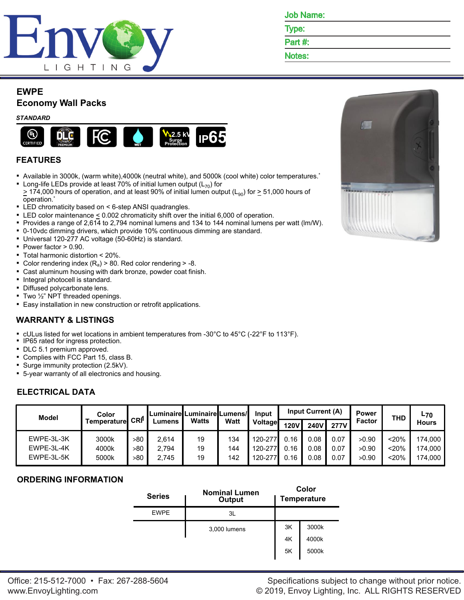

| <b>Job Name:</b> |
|------------------|
|                  |

Type:

Part #:

Notes:

## **EWPE**

# **Economy Wall Packs**

#### *STANDARD*



## **FEATURES**

- Available in 3000k, (warm white),4000k (neutral white), and 5000k (cool white) color temperatures.\*
- **EX** Long-life LEDs provide at least 70% of initial lumen output ( $L_{70}$ ) for  $\geq$  174,000 hours of operation, and at least 90% of initial lumen output (L<sub>90</sub>) for  $\geq$  51,000 hours of operation.\*
- LED chromaticity based on < 6-step ANSI quadrangles.
- **ELED** color maintenance  $\leq$  0.002 chromaticity shift over the initial 6,000 of operation.
- Provides a range of 2,614 to 2,794 nominal lumens and 134 to 144 nominal lumens per watt (lm/W).
- 0-10vdc dimming drivers, which provide 10% continuous dimming are standard.
- Universal 120-277 AC voltage (50-60Hz) is standard.
- Power factor > 0.90.
- Total harmonic distortion < 20%.
- Color rendering index  $(R_a)$  > 80. Red color rendering > -8.
- Cast aluminum housing with dark bronze, powder coat finish.
- Integral photocell is standard.
- Diffused polycarbonate lens.
- $\blacksquare$  Two  $\frac{1}{2}$ " NPT threaded openings.
- **Easy installation in new construction or retrofit applications.**

### **WARRANTY & LISTINGS**

- cULus listed for wet locations in ambient temperatures from -30°C to 45°C (-22°F to 113°F).
- **IP65 rated for ingress protection.**
- DLC 5.1 premium approved.
- Complies with FCC Part 15, class B.
- Surge immunity protection (2.5kV).
- 5-year warranty of all electronics and housing.

## **ELECTRICAL DATA**

| <b>Model</b>                           | Color<br><b>「emperatureI</b> |                   | <b>CRI</b><br>Lumens    | _uminaire Luminaire Lumens//<br>Watts |                   | Input<br><b>Watt</b><br>Voltage | Input Current (A)    |                      |                      | <b>Power</b>            | <b>THD</b>               | L70                           |
|----------------------------------------|------------------------------|-------------------|-------------------------|---------------------------------------|-------------------|---------------------------------|----------------------|----------------------|----------------------|-------------------------|--------------------------|-------------------------------|
|                                        |                              |                   |                         |                                       |                   |                                 | <b>120V</b>          | <b>240V</b>          | <b>277V</b>          | Factor                  |                          | <b>Hours</b>                  |
| EWPE-3L-3K<br>EWPE-3L-4K<br>EWPE-3L-5K | 3000k<br>4000k<br>5000k      | >80<br>>80<br>>80 | 2.614<br>2.794<br>2.745 | 19<br>19<br>19                        | 134<br>144<br>142 | 120-277<br>120-277<br>120-277   | 0.16<br>0.16<br>0.16 | 0.08<br>0.08<br>0.08 | 0.07<br>0.07<br>0.07 | >0.90<br>>0.90<br>>0.90 | $<$ 20%<br>< 20%<br><20% | 174.000<br>174.000<br>174,000 |

### **ORDERING INFORMATION**

| <b>Series</b> | <b>Nominal Lumen</b><br>Output |    | Color<br><b>Temperature</b> |
|---------------|--------------------------------|----|-----------------------------|
| <b>EWPE</b>   | 3L                             |    |                             |
|               | 3,000 lumens                   | 3K | 3000k                       |
|               |                                | 4K | 4000k                       |
|               |                                | 5K | 5000k                       |